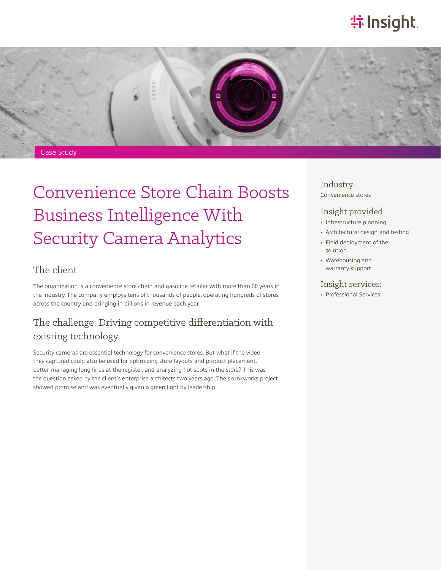# **特Insight**.



# Convenience Store Chain Boosts Business Intelligence With Security Camera Analytics

#### The client

The organization is a convenience store chain and gasoline retailer with more than 60 years in the industry. The company employs tens of thousands of people, operating hundreds of stores across the country and bringing in billions in revenue each year.

### The challenge: Driving competitive differentiation with existing technology

Security cameras are essential technology for convenience stores. But what if the video they captured could also be used for optimizing store layouts and product placement, better managing long lines at the register, and analyzing hot spots in the store? This was the question asked by the client's enterprise architects two years ago. The skunkworks project showed promise and was eventually given a green light by leadership.

#### Industry: Convenience stores

#### Insight provided:

- Infrastructure planning
- Architectural design and testing
- Field deployment of the solution
- Warehousing and warranty support

#### Insight services:

• Professional Services